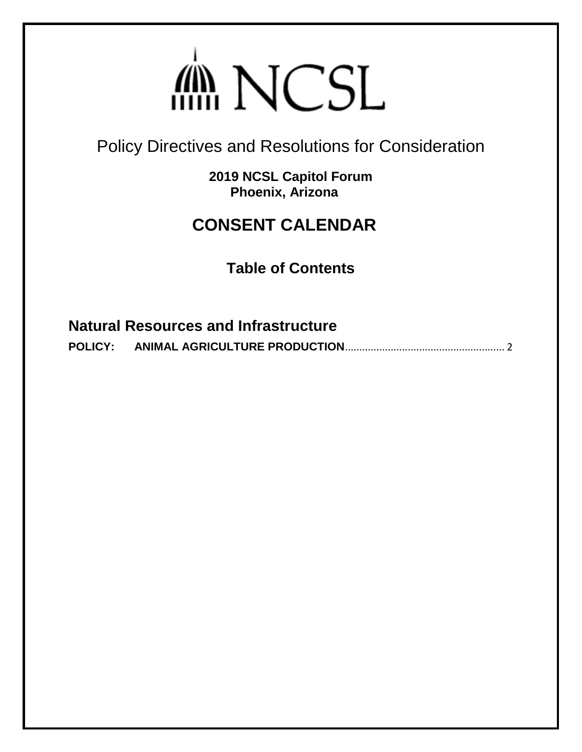# din NCSL

<span id="page-0-0"></span>Policy Directives and Resolutions for Consideration

**2019 NCSL Capitol Forum Phoenix, Arizona**

# **CONSENT CALENDAR**

**Table of Contents**

**Natural Resources and Infrastructure [POLICY: ANIMAL AGRICULTURE PRODUCTION](#page-1-0)**........................................................ 2